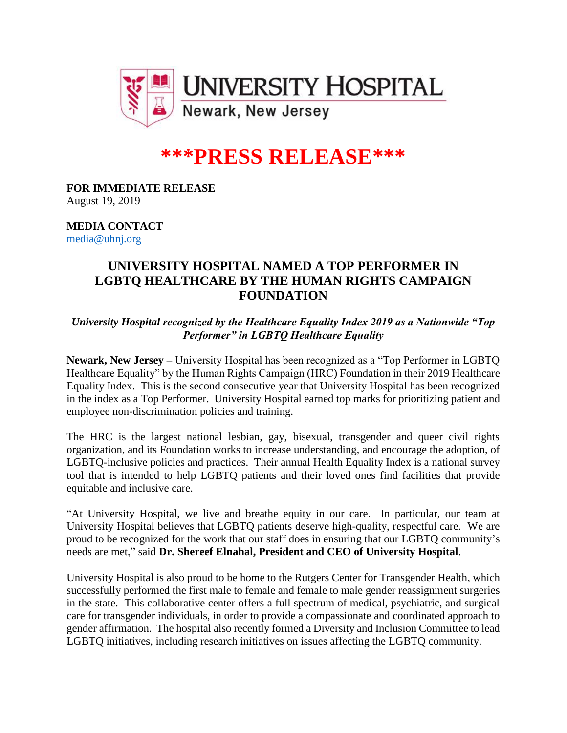

# **\*\*\*PRESS RELEASE\*\*\***

**FOR IMMEDIATE RELEASE** August 19, 2019

**MEDIA CONTACT** [media@uhnj.org](mailto:media@uhnj.org)

## **UNIVERSITY HOSPITAL NAMED A TOP PERFORMER IN LGBTQ HEALTHCARE BY THE HUMAN RIGHTS CAMPAIGN FOUNDATION**

## *University Hospital recognized by the Healthcare Equality Index 2019 as a Nationwide "Top Performer" in LGBTQ Healthcare Equality*

**Newark, New Jersey –** University Hospital has been recognized as a "Top Performer in LGBTQ Healthcare Equality" by the Human Rights Campaign (HRC) Foundation in their 2019 Healthcare Equality Index. This is the second consecutive year that University Hospital has been recognized in the index as a Top Performer. University Hospital earned top marks for prioritizing patient and employee non-discrimination policies and training.

The HRC is the largest national lesbian, gay, bisexual, transgender and queer civil rights organization, and its Foundation works to increase understanding, and encourage the adoption, of LGBTQ-inclusive policies and practices. Their annual Health Equality Index is a national survey tool that is intended to help LGBTQ patients and their loved ones find facilities that provide equitable and inclusive care.

"At University Hospital, we live and breathe equity in our care. In particular, our team at University Hospital believes that LGBTQ patients deserve high-quality, respectful care. We are proud to be recognized for the work that our staff does in ensuring that our LGBTQ community's needs are met," said **Dr. Shereef Elnahal, President and CEO of University Hospital**.

University Hospital is also proud to be home to the Rutgers Center for Transgender Health, which successfully performed the first male to female and female to male gender reassignment surgeries in the state. This collaborative center offers a full spectrum of medical, psychiatric, and surgical care for transgender individuals, in order to provide a compassionate and coordinated approach to gender affirmation. The hospital also recently formed a Diversity and Inclusion Committee to lead LGBTQ initiatives, including research initiatives on issues affecting the LGBTQ community.